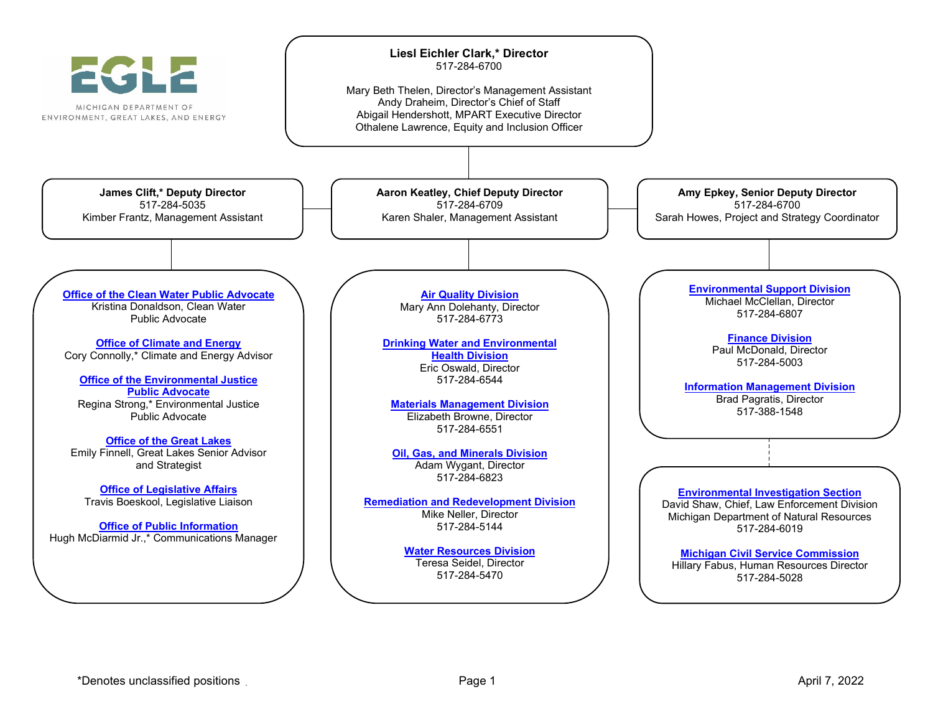